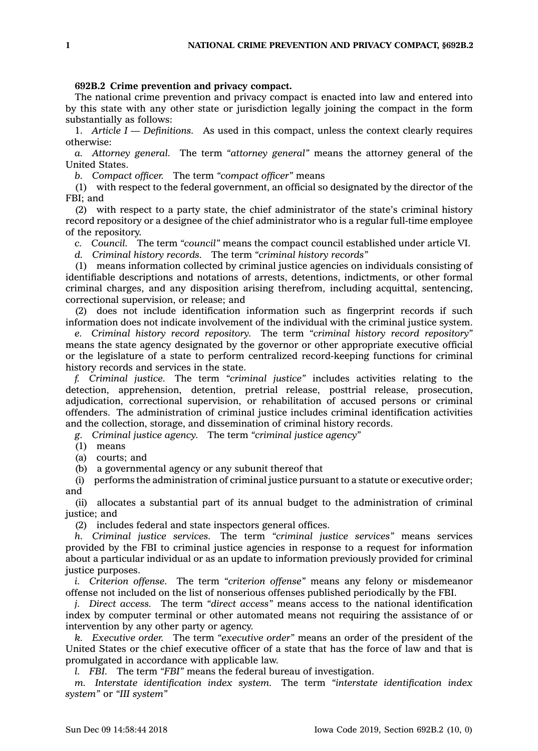## **692B.2 Crime prevention and privacy compact.**

The national crime prevention and privacy compact is enacted into law and entered into by this state with any other state or jurisdiction legally joining the compact in the form substantially as follows:

1. *Article I — Definitions.* As used in this compact, unless the context clearly requires otherwise:

*a. Attorney general.* The term *"attorney general"* means the attorney general of the United States.

*b. Compact officer.* The term *"compact officer"* means

(1) with respect to the federal government, an official so designated by the director of the FBI; and

(2) with respect to <sup>a</sup> party state, the chief administrator of the state's criminal history record repository or <sup>a</sup> designee of the chief administrator who is <sup>a</sup> regular full-time employee of the repository.

*c. Council.* The term *"council"* means the compact council established under article VI.

*d. Criminal history records.* The term *"criminal history records"*

(1) means information collected by criminal justice agencies on individuals consisting of identifiable descriptions and notations of arrests, detentions, indictments, or other formal criminal charges, and any disposition arising therefrom, including acquittal, sentencing, correctional supervision, or release; and

(2) does not include identification information such as fingerprint records if such information does not indicate involvement of the individual with the criminal justice system.

*e. Criminal history record repository.* The term *"criminal history record repository"* means the state agency designated by the governor or other appropriate executive official or the legislature of <sup>a</sup> state to perform centralized record-keeping functions for criminal history records and services in the state.

*f. Criminal justice.* The term *"criminal justice"* includes activities relating to the detection, apprehension, detention, pretrial release, posttrial release, prosecution, adjudication, correctional supervision, or rehabilitation of accused persons or criminal offenders. The administration of criminal justice includes criminal identification activities and the collection, storage, and dissemination of criminal history records.

*g. Criminal justice agency.* The term *"criminal justice agency"*

(1) means

(a) courts; and

(b) <sup>a</sup> governmental agency or any subunit thereof that

(i) performs the administration of criminal justice pursuant to <sup>a</sup> statute or executive order; and

(ii) allocates <sup>a</sup> substantial part of its annual budget to the administration of criminal justice; and

(2) includes federal and state inspectors general offices.

*h. Criminal justice services.* The term *"criminal justice services"* means services provided by the FBI to criminal justice agencies in response to <sup>a</sup> request for information about <sup>a</sup> particular individual or as an update to information previously provided for criminal justice purposes.

*i. Criterion offense.* The term *"criterion offense"* means any felony or misdemeanor offense not included on the list of nonserious offenses published periodically by the FBI.

*j. Direct access.* The term *"direct access"* means access to the national identification index by computer terminal or other automated means not requiring the assistance of or intervention by any other party or agency.

*k. Executive order.* The term *"executive order"* means an order of the president of the United States or the chief executive officer of <sup>a</sup> state that has the force of law and that is promulgated in accordance with applicable law.

*l. FBI.* The term *"FBI"* means the federal bureau of investigation.

*m. Interstate identification index system.* The term *"interstate identification index system"* or *"III system"*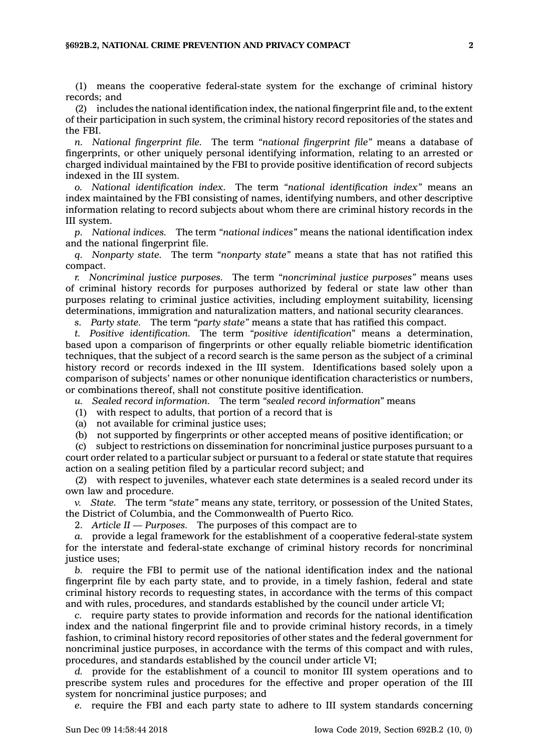## **§692B.2, NATIONAL CRIME PREVENTION AND PRIVACY COMPACT 2**

(1) means the cooperative federal-state system for the exchange of criminal history records; and

(2) includes the national identification index, the national fingerprint file and, to the extent of their participation in such system, the criminal history record repositories of the states and the FBI.

*n. National fingerprint file.* The term *"national fingerprint file"* means <sup>a</sup> database of fingerprints, or other uniquely personal identifying information, relating to an arrested or charged individual maintained by the FBI to provide positive identification of record subjects indexed in the III system.

*o. National identification index.* The term *"national identification index"* means an index maintained by the FBI consisting of names, identifying numbers, and other descriptive information relating to record subjects about whom there are criminal history records in the III system.

*p. National indices.* The term *"national indices"* means the national identification index and the national fingerprint file.

*q. Nonparty state.* The term *"nonparty state"* means <sup>a</sup> state that has not ratified this compact.

*r. Noncriminal justice purposes.* The term *"noncriminal justice purposes"* means uses of criminal history records for purposes authorized by federal or state law other than purposes relating to criminal justice activities, including employment suitability, licensing determinations, immigration and naturalization matters, and national security clearances.

*s. Party state.* The term *"party state"* means <sup>a</sup> state that has ratified this compact.

*t. Positive identification.* The term *"positive identification"* means <sup>a</sup> determination, based upon <sup>a</sup> comparison of fingerprints or other equally reliable biometric identification techniques, that the subject of <sup>a</sup> record search is the same person as the subject of <sup>a</sup> criminal history record or records indexed in the III system. Identifications based solely upon <sup>a</sup> comparison of subjects' names or other nonunique identification characteristics or numbers, or combinations thereof, shall not constitute positive identification.

*u. Sealed record information.* The term *"sealed record information"* means

(1) with respect to adults, that portion of <sup>a</sup> record that is

(a) not available for criminal justice uses;

(b) not supported by fingerprints or other accepted means of positive identification; or

(c) subject to restrictions on dissemination for noncriminal justice purposes pursuant to <sup>a</sup> court order related to <sup>a</sup> particular subject or pursuant to <sup>a</sup> federal or state statute that requires action on <sup>a</sup> sealing petition filed by <sup>a</sup> particular record subject; and

(2) with respect to juveniles, whatever each state determines is <sup>a</sup> sealed record under its own law and procedure.

*v. State.* The term *"state"* means any state, territory, or possession of the United States, the District of Columbia, and the Commonwealth of Puerto Rico.

2. *Article II —Purposes.* The purposes of this compact are to

*a.* provide <sup>a</sup> legal framework for the establishment of <sup>a</sup> cooperative federal-state system for the interstate and federal-state exchange of criminal history records for noncriminal justice uses;

*b.* require the FBI to permit use of the national identification index and the national fingerprint file by each party state, and to provide, in <sup>a</sup> timely fashion, federal and state criminal history records to requesting states, in accordance with the terms of this compact and with rules, procedures, and standards established by the council under article VI;

*c.* require party states to provide information and records for the national identification index and the national fingerprint file and to provide criminal history records, in <sup>a</sup> timely fashion, to criminal history record repositories of other states and the federal government for noncriminal justice purposes, in accordance with the terms of this compact and with rules, procedures, and standards established by the council under article VI;

*d.* provide for the establishment of <sup>a</sup> council to monitor III system operations and to prescribe system rules and procedures for the effective and proper operation of the III system for noncriminal justice purposes; and

*e.* require the FBI and each party state to adhere to III system standards concerning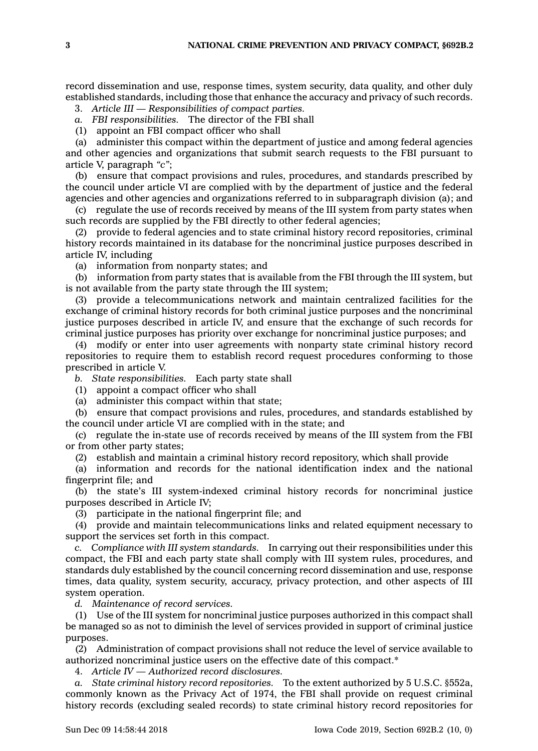record dissemination and use, response times, system security, data quality, and other duly established standards, including those that enhance the accuracy and privacy of such records.

3. *Article III — Responsibilities of compact parties.*

*a. FBI responsibilities.* The director of the FBI shall

(1) appoint an FBI compact officer who shall

(a) administer this compact within the department of justice and among federal agencies and other agencies and organizations that submit search requests to the FBI pursuant to article V, paragraph *"c"*;

(b) ensure that compact provisions and rules, procedures, and standards prescribed by the council under article VI are complied with by the department of justice and the federal agencies and other agencies and organizations referred to in subparagraph division (a); and

(c) regulate the use of records received by means of the III system from party states when such records are supplied by the FBI directly to other federal agencies;

(2) provide to federal agencies and to state criminal history record repositories, criminal history records maintained in its database for the noncriminal justice purposes described in article IV, including

(a) information from nonparty states; and

(b) information from party states that is available from the FBI through the III system, but is not available from the party state through the III system;

(3) provide <sup>a</sup> telecommunications network and maintain centralized facilities for the exchange of criminal history records for both criminal justice purposes and the noncriminal justice purposes described in article IV, and ensure that the exchange of such records for criminal justice purposes has priority over exchange for noncriminal justice purposes; and

(4) modify or enter into user agreements with nonparty state criminal history record repositories to require them to establish record request procedures conforming to those prescribed in article V.

*b. State responsibilities.* Each party state shall

(1) appoint <sup>a</sup> compact officer who shall

(a) administer this compact within that state;

(b) ensure that compact provisions and rules, procedures, and standards established by the council under article VI are complied with in the state; and

(c) regulate the in-state use of records received by means of the III system from the FBI or from other party states;

(2) establish and maintain <sup>a</sup> criminal history record repository, which shall provide

(a) information and records for the national identification index and the national fingerprint file; and

(b) the state's III system-indexed criminal history records for noncriminal justice purposes described in Article IV;

(3) participate in the national fingerprint file; and

(4) provide and maintain telecommunications links and related equipment necessary to support the services set forth in this compact.

*c. Compliance with III system standards.* In carrying out their responsibilities under this compact, the FBI and each party state shall comply with III system rules, procedures, and standards duly established by the council concerning record dissemination and use, response times, data quality, system security, accuracy, privacy protection, and other aspects of III system operation.

*d. Maintenance of record services.*

(1) Use of the III system for noncriminal justice purposes authorized in this compact shall be managed so as not to diminish the level of services provided in support of criminal justice purposes.

(2) Administration of compact provisions shall not reduce the level of service available to authorized noncriminal justice users on the effective date of this compact.\*

4. *Article IV — Authorized record disclosures.*

*a. State criminal history record repositories.* To the extent authorized by 5 U.S.C. §552a, commonly known as the Privacy Act of 1974, the FBI shall provide on request criminal history records (excluding sealed records) to state criminal history record repositories for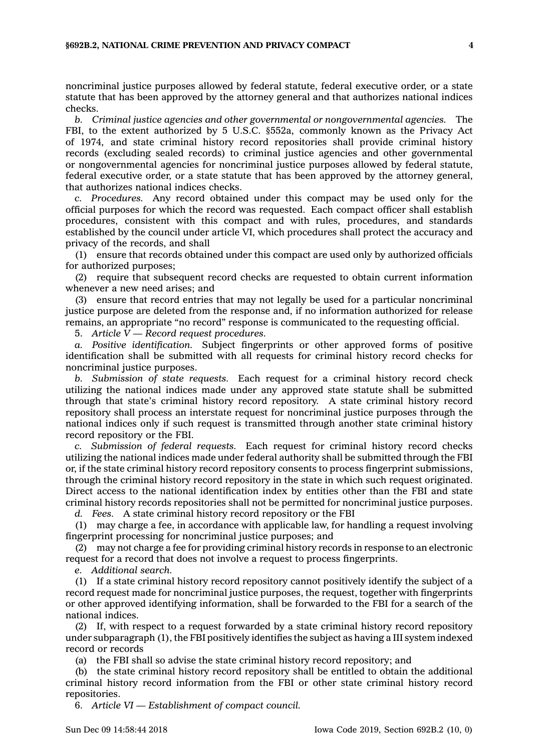noncriminal justice purposes allowed by federal statute, federal executive order, or <sup>a</sup> state statute that has been approved by the attorney general and that authorizes national indices checks.

*b. Criminal justice agencies and other governmental or nongovernmental agencies.* The FBI, to the extent authorized by 5 U.S.C. §552a, commonly known as the Privacy Act of 1974, and state criminal history record repositories shall provide criminal history records (excluding sealed records) to criminal justice agencies and other governmental or nongovernmental agencies for noncriminal justice purposes allowed by federal statute, federal executive order, or <sup>a</sup> state statute that has been approved by the attorney general, that authorizes national indices checks.

*c. Procedures.* Any record obtained under this compact may be used only for the official purposes for which the record was requested. Each compact officer shall establish procedures, consistent with this compact and with rules, procedures, and standards established by the council under article VI, which procedures shall protect the accuracy and privacy of the records, and shall

(1) ensure that records obtained under this compact are used only by authorized officials for authorized purposes;

(2) require that subsequent record checks are requested to obtain current information whenever <sup>a</sup> new need arises; and

(3) ensure that record entries that may not legally be used for <sup>a</sup> particular noncriminal justice purpose are deleted from the response and, if no information authorized for release remains, an appropriate "no record" response is communicated to the requesting official.

5. *Article V — Record request procedures.*

*a. Positive identification.* Subject fingerprints or other approved forms of positive identification shall be submitted with all requests for criminal history record checks for noncriminal justice purposes.

*b. Submission of state requests.* Each request for <sup>a</sup> criminal history record check utilizing the national indices made under any approved state statute shall be submitted through that state's criminal history record repository. A state criminal history record repository shall process an interstate request for noncriminal justice purposes through the national indices only if such request is transmitted through another state criminal history record repository or the FBI.

*c. Submission of federal requests.* Each request for criminal history record checks utilizing the national indices made under federal authority shall be submitted through the FBI or, if the state criminal history record repository consents to process fingerprint submissions, through the criminal history record repository in the state in which such request originated. Direct access to the national identification index by entities other than the FBI and state criminal history records repositories shall not be permitted for noncriminal justice purposes.

*d. Fees.* A state criminal history record repository or the FBI

(1) may charge <sup>a</sup> fee, in accordance with applicable law, for handling <sup>a</sup> request involving fingerprint processing for noncriminal justice purposes; and

(2) may not charge <sup>a</sup> fee for providing criminal history records in response to an electronic request for <sup>a</sup> record that does not involve <sup>a</sup> request to process fingerprints.

*e. Additional search.*

(1) If <sup>a</sup> state criminal history record repository cannot positively identify the subject of <sup>a</sup> record request made for noncriminal justice purposes, the request, together with fingerprints or other approved identifying information, shall be forwarded to the FBI for <sup>a</sup> search of the national indices.

(2) If, with respect to <sup>a</sup> request forwarded by <sup>a</sup> state criminal history record repository under subparagraph (1), the FBI positively identifies the subject as having <sup>a</sup> III system indexed record or records

(a) the FBI shall so advise the state criminal history record repository; and

(b) the state criminal history record repository shall be entitled to obtain the additional criminal history record information from the FBI or other state criminal history record repositories.

6. *Article VI — Establishment of compact council.*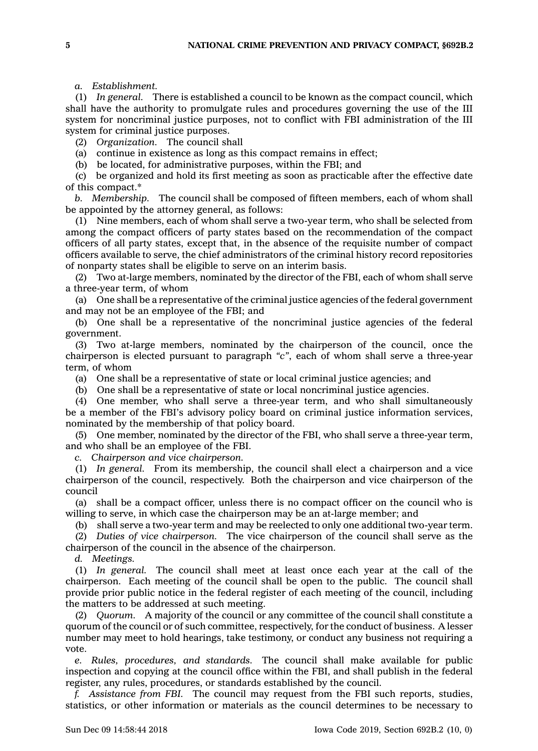## *a. Establishment.*

(1) *In general.* There is established <sup>a</sup> council to be known as the compact council, which shall have the authority to promulgate rules and procedures governing the use of the III system for noncriminal justice purposes, not to conflict with FBI administration of the III system for criminal justice purposes.

(2) *Organization.* The council shall

(a) continue in existence as long as this compact remains in effect;

(b) be located, for administrative purposes, within the FBI; and

(c) be organized and hold its first meeting as soon as practicable after the effective date of this compact.\*

*b. Membership.* The council shall be composed of fifteen members, each of whom shall be appointed by the attorney general, as follows:

(1) Nine members, each of whom shall serve <sup>a</sup> two-year term, who shall be selected from among the compact officers of party states based on the recommendation of the compact officers of all party states, except that, in the absence of the requisite number of compact officers available to serve, the chief administrators of the criminal history record repositories of nonparty states shall be eligible to serve on an interim basis.

(2) Two at-large members, nominated by the director of the FBI, each of whom shall serve <sup>a</sup> three-year term, of whom

(a) One shall be <sup>a</sup> representative of the criminal justice agencies of the federal government and may not be an employee of the FBI; and

(b) One shall be <sup>a</sup> representative of the noncriminal justice agencies of the federal government.

(3) Two at-large members, nominated by the chairperson of the council, once the chairperson is elected pursuant to paragraph *"c"*, each of whom shall serve <sup>a</sup> three-year term, of whom

(a) One shall be <sup>a</sup> representative of state or local criminal justice agencies; and

(b) One shall be <sup>a</sup> representative of state or local noncriminal justice agencies.

(4) One member, who shall serve <sup>a</sup> three-year term, and who shall simultaneously be <sup>a</sup> member of the FBI's advisory policy board on criminal justice information services, nominated by the membership of that policy board.

(5) One member, nominated by the director of the FBI, who shall serve <sup>a</sup> three-year term, and who shall be an employee of the FBI.

*c. Chairperson and vice chairperson.*

(1) *In general.* From its membership, the council shall elect <sup>a</sup> chairperson and <sup>a</sup> vice chairperson of the council, respectively. Both the chairperson and vice chairperson of the council

(a) shall be <sup>a</sup> compact officer, unless there is no compact officer on the council who is willing to serve, in which case the chairperson may be an at-large member; and

(b) shall serve <sup>a</sup> two-year term and may be reelected to only one additional two-year term.

(2) *Duties of vice chairperson.* The vice chairperson of the council shall serve as the chairperson of the council in the absence of the chairperson.

*d. Meetings.*

(1) *In general.* The council shall meet at least once each year at the call of the chairperson. Each meeting of the council shall be open to the public. The council shall provide prior public notice in the federal register of each meeting of the council, including the matters to be addressed at such meeting.

(2) *Quorum.* A majority of the council or any committee of the council shall constitute <sup>a</sup> quorum of the council or of such committee, respectively, for the conduct of business. A lesser number may meet to hold hearings, take testimony, or conduct any business not requiring <sup>a</sup> vote.

*e. Rules, procedures, and standards.* The council shall make available for public inspection and copying at the council office within the FBI, and shall publish in the federal register, any rules, procedures, or standards established by the council.

*f. Assistance from FBI.* The council may request from the FBI such reports, studies, statistics, or other information or materials as the council determines to be necessary to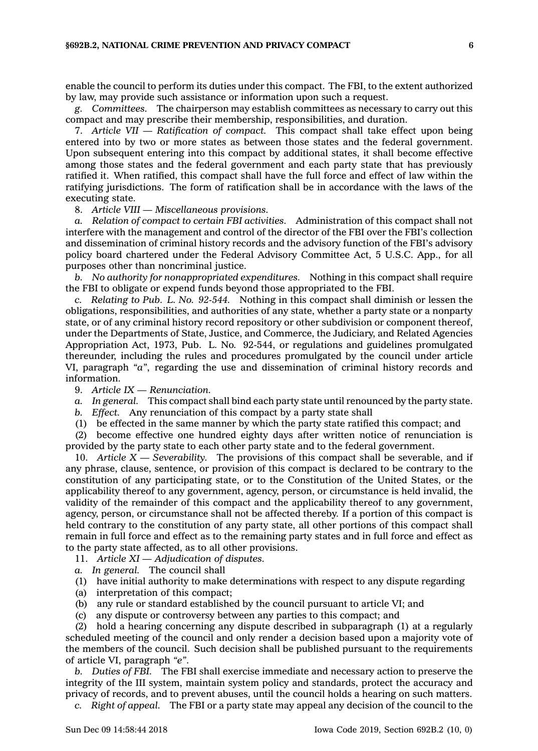enable the council to perform its duties under this compact. The FBI, to the extent authorized by law, may provide such assistance or information upon such <sup>a</sup> request.

*g. Committees.* The chairperson may establish committees as necessary to carry out this compact and may prescribe their membership, responsibilities, and duration.

7. *Article VII — Ratification of compact.* This compact shall take effect upon being entered into by two or more states as between those states and the federal government. Upon subsequent entering into this compact by additional states, it shall become effective among those states and the federal government and each party state that has previously ratified it. When ratified, this compact shall have the full force and effect of law within the ratifying jurisdictions. The form of ratification shall be in accordance with the laws of the executing state.

8. *Article VIII —Miscellaneous provisions.*

*a. Relation of compact to certain FBI activities.* Administration of this compact shall not interfere with the management and control of the director of the FBI over the FBI's collection and dissemination of criminal history records and the advisory function of the FBI's advisory policy board chartered under the Federal Advisory Committee Act, 5 U.S.C. App., for all purposes other than noncriminal justice.

*b. No authority for nonappropriated expenditures.* Nothing in this compact shall require the FBI to obligate or expend funds beyond those appropriated to the FBI.

*c. Relating to Pub. L. No. 92-544.* Nothing in this compact shall diminish or lessen the obligations, responsibilities, and authorities of any state, whether <sup>a</sup> party state or <sup>a</sup> nonparty state, or of any criminal history record repository or other subdivision or component thereof, under the Departments of State, Justice, and Commerce, the Judiciary, and Related Agencies Appropriation Act, 1973, Pub. L. No. 92-544, or regulations and guidelines promulgated thereunder, including the rules and procedures promulgated by the council under article VI, paragraph *"a"*, regarding the use and dissemination of criminal history records and information.

9. *Article IX — Renunciation.*

*a. In general.* This compact shall bind each party state until renounced by the party state.

*b. Effect.* Any renunciation of this compact by <sup>a</sup> party state shall

(1) be effected in the same manner by which the party state ratified this compact; and

(2) become effective one hundred eighty days after written notice of renunciation is provided by the party state to each other party state and to the federal government.

10. *Article X — Severability.* The provisions of this compact shall be severable, and if any phrase, clause, sentence, or provision of this compact is declared to be contrary to the constitution of any participating state, or to the Constitution of the United States, or the applicability thereof to any government, agency, person, or circumstance is held invalid, the validity of the remainder of this compact and the applicability thereof to any government, agency, person, or circumstance shall not be affected thereby. If <sup>a</sup> portion of this compact is held contrary to the constitution of any party state, all other portions of this compact shall remain in full force and effect as to the remaining party states and in full force and effect as to the party state affected, as to all other provisions.

11. *Article XI — Adjudication of disputes.*

- *a. In general.* The council shall
- (1) have initial authority to make determinations with respect to any dispute regarding
- (a) interpretation of this compact;
- (b) any rule or standard established by the council pursuant to article VI; and
- (c) any dispute or controversy between any parties to this compact; and

(2) hold <sup>a</sup> hearing concerning any dispute described in subparagraph (1) at <sup>a</sup> regularly scheduled meeting of the council and only render <sup>a</sup> decision based upon <sup>a</sup> majority vote of the members of the council. Such decision shall be published pursuant to the requirements of article VI, paragraph *"e"*.

*b. Duties of FBI.* The FBI shall exercise immediate and necessary action to preserve the integrity of the III system, maintain system policy and standards, protect the accuracy and privacy of records, and to prevent abuses, until the council holds <sup>a</sup> hearing on such matters.

*c. Right of appeal.* The FBI or <sup>a</sup> party state may appeal any decision of the council to the